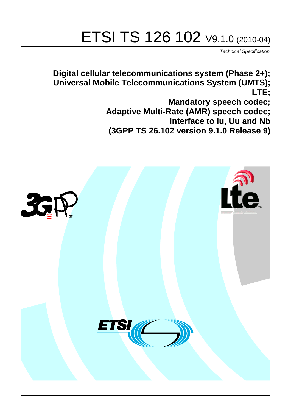# ETSI TS 126 102 V9.1.0 (2010-04)

*Technical Specification*

**Digital cellular telecommunications system (Phase 2+); Universal Mobile Telecommunications System (UMTS); LTE; Mandatory speech codec; Adaptive Multi-Rate (AMR) speech codec; Interface to Iu, Uu and Nb (3GPP TS 26.102 version 9.1.0 Release 9)**

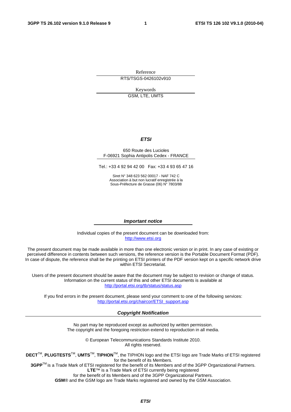Reference RTS/TSGS-0426102v910

> Keywords GSM, LTE, UMTS

#### *ETSI*

#### 650 Route des Lucioles F-06921 Sophia Antipolis Cedex - FRANCE

Tel.: +33 4 92 94 42 00 Fax: +33 4 93 65 47 16

Siret N° 348 623 562 00017 - NAF 742 C Association à but non lucratif enregistrée à la Sous-Préfecture de Grasse (06) N° 7803/88

#### *Important notice*

Individual copies of the present document can be downloaded from: [http://www.etsi.org](http://www.etsi.org/)

The present document may be made available in more than one electronic version or in print. In any case of existing or perceived difference in contents between such versions, the reference version is the Portable Document Format (PDF). In case of dispute, the reference shall be the printing on ETSI printers of the PDF version kept on a specific network drive within ETSI Secretariat.

Users of the present document should be aware that the document may be subject to revision or change of status. Information on the current status of this and other ETSI documents is available at <http://portal.etsi.org/tb/status/status.asp>

If you find errors in the present document, please send your comment to one of the following services: [http://portal.etsi.org/chaircor/ETSI\\_support.asp](http://portal.etsi.org/chaircor/ETSI_support.asp)

#### *Copyright Notification*

No part may be reproduced except as authorized by written permission. The copyright and the foregoing restriction extend to reproduction in all media.

> © European Telecommunications Standards Institute 2010. All rights reserved.

**DECT**TM, **PLUGTESTS**TM, **UMTS**TM, **TIPHON**TM, the TIPHON logo and the ETSI logo are Trade Marks of ETSI registered for the benefit of its Members.

**3GPP**TM is a Trade Mark of ETSI registered for the benefit of its Members and of the 3GPP Organizational Partners. **LTE**™ is a Trade Mark of ETSI currently being registered

for the benefit of its Members and of the 3GPP Organizational Partners.

**GSM**® and the GSM logo are Trade Marks registered and owned by the GSM Association.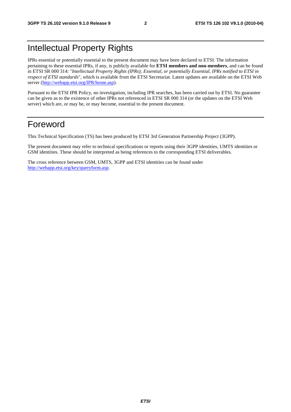# Intellectual Property Rights

IPRs essential or potentially essential to the present document may have been declared to ETSI. The information pertaining to these essential IPRs, if any, is publicly available for **ETSI members and non-members**, and can be found in ETSI SR 000 314: *"Intellectual Property Rights (IPRs); Essential, or potentially Essential, IPRs notified to ETSI in respect of ETSI standards"*, which is available from the ETSI Secretariat. Latest updates are available on the ETSI Web server [\(http://webapp.etsi.org/IPR/home.asp\)](http://webapp.etsi.org/IPR/home.asp).

Pursuant to the ETSI IPR Policy, no investigation, including IPR searches, has been carried out by ETSI. No guarantee can be given as to the existence of other IPRs not referenced in ETSI SR 000 314 (or the updates on the ETSI Web server) which are, or may be, or may become, essential to the present document.

### Foreword

This Technical Specification (TS) has been produced by ETSI 3rd Generation Partnership Project (3GPP).

The present document may refer to technical specifications or reports using their 3GPP identities, UMTS identities or GSM identities. These should be interpreted as being references to the corresponding ETSI deliverables.

The cross reference between GSM, UMTS, 3GPP and ETSI identities can be found under [http://webapp.etsi.org/key/queryform.asp.](http://webapp.etsi.org/key/queryform.asp)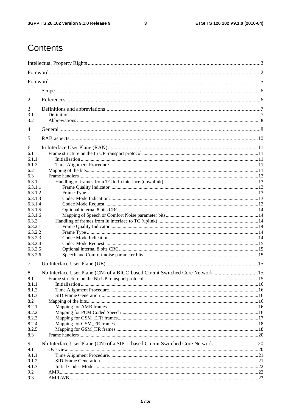$\mathbf{3}$ 

# Contents

| 1                  |                                                                                |  |  |  |  |  |
|--------------------|--------------------------------------------------------------------------------|--|--|--|--|--|
| 2                  |                                                                                |  |  |  |  |  |
| 3                  |                                                                                |  |  |  |  |  |
| 3.1                |                                                                                |  |  |  |  |  |
| 3.2                |                                                                                |  |  |  |  |  |
| 4                  |                                                                                |  |  |  |  |  |
| 5                  |                                                                                |  |  |  |  |  |
| 6                  |                                                                                |  |  |  |  |  |
| 6.1                |                                                                                |  |  |  |  |  |
| 6.1.1              |                                                                                |  |  |  |  |  |
| 6.1.2              |                                                                                |  |  |  |  |  |
| 6.2                |                                                                                |  |  |  |  |  |
| 6.3<br>6.3.1       |                                                                                |  |  |  |  |  |
| 6.3.1.1            |                                                                                |  |  |  |  |  |
| 6.3.1.2            |                                                                                |  |  |  |  |  |
| 6.3.1.3            |                                                                                |  |  |  |  |  |
| 6.3.1.4            |                                                                                |  |  |  |  |  |
| 6.3.1.5            |                                                                                |  |  |  |  |  |
| 6.3.1.6            |                                                                                |  |  |  |  |  |
| 6.3.2              |                                                                                |  |  |  |  |  |
| 6.3.2.1            |                                                                                |  |  |  |  |  |
| 6.3.2.2            |                                                                                |  |  |  |  |  |
| 6.3.2.3            |                                                                                |  |  |  |  |  |
| 6.3.2.4<br>6.3.2.5 |                                                                                |  |  |  |  |  |
| 6.3.2.6            |                                                                                |  |  |  |  |  |
|                    |                                                                                |  |  |  |  |  |
| 7                  |                                                                                |  |  |  |  |  |
| 8                  | Nb Interface User Plane (CN) of a BICC-based Circuit Switched Core Network15   |  |  |  |  |  |
| 8.1                |                                                                                |  |  |  |  |  |
| 8.1.1              |                                                                                |  |  |  |  |  |
| 8.1.2              |                                                                                |  |  |  |  |  |
| 8.1.3<br>8.2       |                                                                                |  |  |  |  |  |
| 8.2.1              |                                                                                |  |  |  |  |  |
| 8.2.2              |                                                                                |  |  |  |  |  |
| 8.2.3              |                                                                                |  |  |  |  |  |
| 8.2.4              |                                                                                |  |  |  |  |  |
| 8.2.5              |                                                                                |  |  |  |  |  |
| 8.3                |                                                                                |  |  |  |  |  |
| 9                  | Nb Interface User Plane (CN) of a SIP-I -based Circuit Switched Core Network20 |  |  |  |  |  |
| 9.1                |                                                                                |  |  |  |  |  |
| 9.1.1              |                                                                                |  |  |  |  |  |
| 9.1.2<br>9.1.3     |                                                                                |  |  |  |  |  |
| 9.2                |                                                                                |  |  |  |  |  |
| 9.3                |                                                                                |  |  |  |  |  |
|                    |                                                                                |  |  |  |  |  |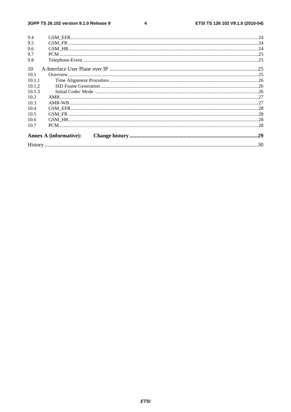#### $\overline{\mathbf{4}}$

| 9.4    |                               |  |
|--------|-------------------------------|--|
| 9.5    |                               |  |
| 9.6    |                               |  |
| 9.7    |                               |  |
| 9.8    |                               |  |
| 10     |                               |  |
| 10.1   |                               |  |
| 10.1.1 |                               |  |
| 10.1.2 |                               |  |
| 10.1.3 |                               |  |
| 10.2   |                               |  |
| 10.3   |                               |  |
| 10.4   |                               |  |
| 10.5   |                               |  |
| 10.6   |                               |  |
| 10.7   |                               |  |
|        | <b>Annex A (informative):</b> |  |
|        |                               |  |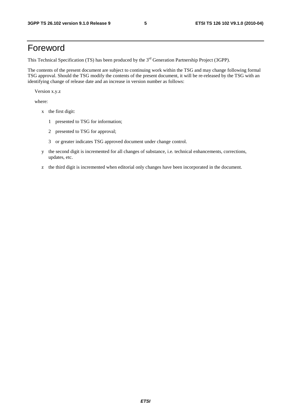# Foreword

This Technical Specification (TS) has been produced by the 3<sup>rd</sup> Generation Partnership Project (3GPP).

The contents of the present document are subject to continuing work within the TSG and may change following formal TSG approval. Should the TSG modify the contents of the present document, it will be re-released by the TSG with an identifying change of release date and an increase in version number as follows:

Version x.y.z

where:

- x the first digit:
	- 1 presented to TSG for information;
	- 2 presented to TSG for approval;
	- 3 or greater indicates TSG approved document under change control.
- y the second digit is incremented for all changes of substance, i.e. technical enhancements, corrections, updates, etc.
- z the third digit is incremented when editorial only changes have been incorporated in the document.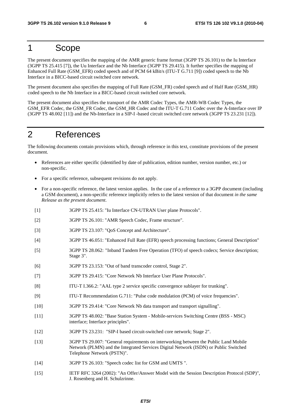### 1 Scope

The present document specifies the mapping of the AMR generic frame format (3GPP TS 26.101) to the Iu Interface (3GPP TS 25.415 [7]), the Uu Interface and the Nb Interface (3GPP TS 29.415). It further specifies the mapping of Enhanced Full Rate (GSM\_EFR) coded speech and of PCM 64 kBit/s (ITU-T G.711 [9]) coded speech to the Nb Interface in a BICC-based circuit switched core network.

The present document also specifies the mapping of Full Rate (GSM\_FR) coded speech and of Half Rate (GSM\_HR) coded speech to the Nb Interface in a BICC-based circuit switched core network.

The present document also specifies the transport of the AMR Codec Types, the AMR-WB Codec Types, the GSM\_EFR Codec, the GSM\_FR Codec, the GSM\_HR Codec and the ITU-T G.711 Codec over the A-Interface over IP (3GPP TS 48.002 [11]) and the Nb-Interface in a SIP-I -based circuit switched core network (3GPP TS 23.231 [12]).

# 2 References

The following documents contain provisions which, through reference in this text, constitute provisions of the present document.

- References are either specific (identified by date of publication, edition number, version number, etc.) or non-specific.
- For a specific reference, subsequent revisions do not apply.
- For a non-specific reference, the latest version applies. In the case of a reference to a 3GPP document (including a GSM document), a non-specific reference implicitly refers to the latest version of that document *in the same Release as the present document*.
- [1] 3GPP TS 25.415: "Iu Interface CN-UTRAN User plane Protocols".
- [2] 3GPP TS 26.101: "AMR Speech Codec, Frame structure".
- [3] 3GPP TS 23.107: "QoS Concept and Architecture".
- [4] 3GPP TS 46.051: "Enhanced Full Rate (EFR) speech processing functions; General Description"
- [5] 3GPP TS 28.062: "Inband Tandem Free Operation (TFO) of speech codecs; Service description; Stage 3".
- [6] 3GPP TS 23.153: "Out of band transcoder control, Stage 2".
- [7] 3GPP TS 29.415: "Core Network Nb Interface User Plane Protocols".
- [8] ITU-T I.366.2: "AAL type 2 service specific convergence sublayer for trunking".
- [9] ITU-T Recommendation G.711: "Pulse code modulation (PCM) of voice frequencies".
- [10] 3GPP TS 29.414: "Core Network Nb data transport and transport signalling".
- [11] 3GPP TS 48.002: "Base Station System Mobile-services Switching Centre (BSS MSC) interface; Interface principles".
- [12] 3GPP TS 23.231: "SIP-I based circuit-switched core network; Stage 2".
- [13] 3GPP TS 29.007: "General requirements on interworking between the Public Land Mobile Network (PLMN) and the Integrated Services Digital Network (ISDN) or Public Switched Telephone Network (PSTN)".
- [14] 3GPP TS 26.103: "Speech codec list for GSM and UMTS ".
- [15] IETF RFC 3264 (2002): "An Offer/Answer Model with the Session Description Protocol (SDP)", J. Rosenberg and H. Schulzrinne.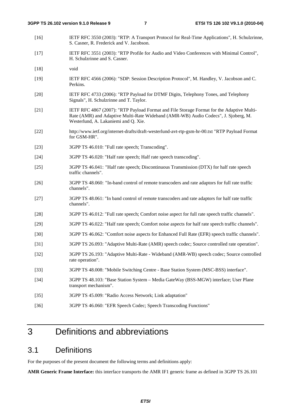- [16] IETF RFC 3550 (2003): "RTP: A Transport Protocol for Real-Time Applications", H. Schulzrinne, S. Casner, R. Frederick and V. Jacobson.
- [17] IETF RFC 3551 (2003): "RTP Profile for Audio and Video Conferences with Minimal Control", H. Schulzrinne and S. Casner.
- [18] void
- [19] IETF RFC 4566 (2006): "SDP: Session Description Protocol", M. Handley, V. Jacobson and C. Perkins.
- [20] IETF RFC 4733 (2006): "RTP Payload for DTMF Digits, Telephony Tones, and Telephony Signals", H. Schulzrinne and T. Taylor.
- [21] IETF RFC 4867 (2007): "RTP Payload Format and File Storage Format for the Adaptive Multi-Rate (AMR) and Adaptive Multi-Rate Wideband (AMR-WB) Audio Codecs", J. Sjoberg, M. Westerlund, A. Lakaniemi and Q. Xie.
- [22] http://www.ietf.org/internet-drafts/draft-westerlund-avt-rtp-gsm-hr-00.txt "RTP Payload Format for GSM-HR".
- [23] 3GPP TS 46.010: "Full rate speech; Transcoding".
- [24] 3GPP TS 46.020: "Half rate speech; Half rate speech transcoding".
- [25] 3GPP TS 46.041: "Half rate speech; Discontinuous Transmission (DTX) for half rate speech traffic channels".
- [26] 3GPP TS 48.060: "In-band control of remote transcoders and rate adaptors for full rate traffic channels".
- [27] 3GPP TS 48.061: "In band control of remote transcoders and rate adaptors for half rate traffic channels".
- [28] 3GPP TS 46.012: "Full rate speech; Comfort noise aspect for full rate speech traffic channels".
- [29] 3GPP TS 46.022: "Half rate speech; Comfort noise aspects for half rate speech traffic channels".
- [30] 3GPP TS 46.062: "Comfort noise aspects for Enhanced Full Rate (EFR) speech traffic channels".
- [31] 3GPP TS 26.093: "Adaptive Multi-Rate (AMR) speech codec; Source controlled rate operation".
- [32] 3GPP TS 26.193: "Adaptive Multi-Rate Wideband (AMR-WB) speech codec; Source controlled rate operation".
- [33] 3GPP TS 48.008: "Mobile Switching Centre Base Station System (MSC-BSS) interface".
- [34] 3GPP TS 48.103: "Base Station System Media GateWay (BSS-MGW) interface; User Plane transport mechanism".
- [35] 3GPP TS 45.009: "Radio Access Network; Link adaptation"
- [36] 3GPP TS 46.060: "EFR Speech Codec; Speech Transcoding Functions"

## 3 Definitions and abbreviations

### 3.1 Definitions

For the purposes of the present document the following terms and definitions apply:

**AMR Generic Frame Interface:** this interface transports the AMR IF1 generic frame as defined in 3GPP TS 26.101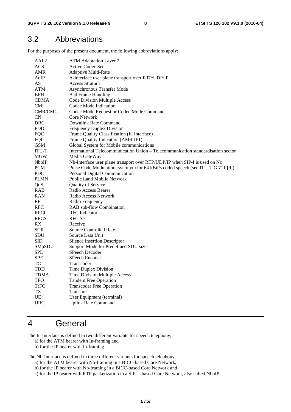### 3.2 Abbreviations

For the purposes of the present document, the following abbreviations apply:

| AAL2           | <b>ATM Adaptation Layer 2</b>                                                    |
|----------------|----------------------------------------------------------------------------------|
| <b>ACS</b>     | Active Codec Set                                                                 |
| AMR            | Adaptive Multi-Rate                                                              |
| AoIP           | A-Interface user plane transport over RTP/UDP/IP                                 |
| AS             | <b>Access Stratum</b>                                                            |
| ATM            | Asynchronous Transfer Mode                                                       |
| <b>BFH</b>     | <b>Bad Frame Handling</b>                                                        |
| <b>CDMA</b>    | Code Division Multiple Access                                                    |
| <b>CMI</b>     | Codec Mode Indication                                                            |
| <b>CMR/CMC</b> | Codec Mode Request or Codec Mode Command                                         |
| <b>CN</b>      | <b>Core Network</b>                                                              |
| DRC            | Downlink Rate Command                                                            |
| FDD            | <b>Frequency Duplex Division</b>                                                 |
| <b>FQC</b>     | Frame Quality Classification (Iu Interface)                                      |
| FQI            | Frame Quality Indication (AMR IF1)                                               |
| <b>GSM</b>     | Global System for Mobile communications                                          |
| ITU-T          | International Telecommunication Union - Telecommunication standardisation sector |
| <b>MGW</b>     | Media GateWay                                                                    |
| <b>NboIP</b>   | Nb-Interface user plane transport over RTP/UDP/IP when SIP-I is used on Nc       |
| <b>PCM</b>     | Pulse Code Modulation, synonym for 64 kBit/s coded speech (see ITU-T G.711 [9])  |
| PDC            | Personal Digital Communication                                                   |
| PLMN           | <b>Public Land Mobile Network</b>                                                |
| QoS            | <b>Quality of Service</b>                                                        |
| RAB            | Radio Access Bearer                                                              |
| RAN            | Radio Access Network                                                             |
| RF             | Radio Frequency                                                                  |
| RFC            | RAB sub-flow Combination                                                         |
| <b>RFCI</b>    | <b>RFC</b> Indicator                                                             |
| <b>RFCS</b>    | <b>RFC</b> Set                                                                   |
| RX             | Receive                                                                          |
| <b>SCR</b>     | <b>Source Controlled Rate</b>                                                    |
| SDU            | Source Data Unit                                                                 |
| <b>SID</b>     | <b>Silence Insertion Descriptor</b>                                              |
| SMpSDU         | Support Mode for Predefined SDU sizes                                            |
| <b>SPD</b>     | SPeech Decoder                                                                   |
| SPE            | SPeech Encoder                                                                   |
| TC             | Transcoder                                                                       |
| TDD            | Time Duplex Division                                                             |
| <b>TDMA</b>    | Time Division Multiple Access                                                    |
| TFO            | <b>Tandem Free Operation</b>                                                     |
| TrFO           | <b>Transcoder Free Operation</b>                                                 |
| TX             | Transmit                                                                         |
| UE             | User Equipment (terminal)                                                        |
| <b>URC</b>     | <b>Uplink Rate Command</b>                                                       |
|                |                                                                                  |

# 4 General

The Iu-Interface is defined in two different variants for speech telephony,

- a) for the ATM bearer with Iu-framing and
- b) for the IP bearer with Iu-framing.

The Nb-Interface is defined in three different variants for speech telephony,

- a) for the ATM bearer with Nb-framing in a BICC-based Core Network,
- b) for the IP bearer with Nb-framing in a BICC-based Core Network and
- c) for the IP bearer with RTP packetization in a SIP-I -based Core Network, also called NboIP.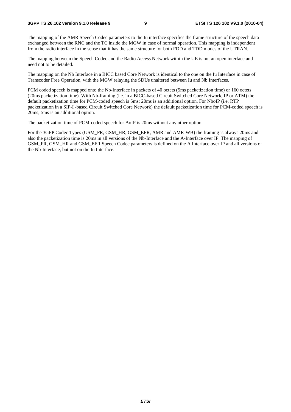#### **3GPP TS 26.102 version 9.1.0 Release 9 9 ETSI TS 126 102 V9.1.0 (2010-04)**

The mapping of the AMR Speech Codec parameters to the Iu interface specifies the frame structure of the speech data exchanged between the RNC and the TC inside the MGW in case of normal operation. This mapping is independent from the radio interface in the sense that it has the same structure for both FDD and TDD modes of the UTRAN.

The mapping between the Speech Codec and the Radio Access Network within the UE is not an open interface and need not to be detailed.

The mapping on the Nb Interface in a BICC based Core Network is identical to the one on the Iu Interface in case of Transcoder Free Operation, with the MGW relaying the SDUs unaltered between Iu and Nb Interfaces.

PCM coded speech is mapped onto the Nb-Interface in packets of 40 octets (5ms packetization time) or 160 octets (20ms packetization time). With Nb-framing (i.e. in a BICC-based Circuit Switched Core Network, IP or ATM) the default packetization time for PCM-coded speech is 5ms; 20ms is an additional option. For NboIP (i.e. RTP packetization in a SIP-I -based Circuit Switched Core Network) the default packetization time for PCM-coded speech is 20ms; 5ms is an additional option.

The packetization time of PCM-coded speech for AoIP is 20ms without any other option.

For the 3GPP Codec Types (GSM\_FR, GSM\_HR, GSM\_EFR, AMR and AMR-WB) the framing is always 20ms and also the packetization time is 20ms in all versions of the Nb-Interface and the A-Interface over IP. The mapping of GSM\_FR, GSM\_HR and GSM\_EFR Speech Codec parameters is defined on the A Interface over IP and all versions of the Nb-Interface, but not on the Iu Interface.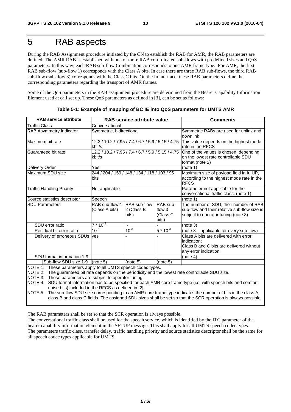# 5 RAB aspects

During the RAB Assignment procedure initiated by the CN to establish the RAB for AMR, the RAB parameters are defined. The AMR RAB is established with one or more RAB co-ordinated sub-flows with predefined sizes and QoS parameters. In this way, each RAB sub-flow Combination corresponds to one AMR frame type. For AMR, the first RAB sub-flow (sub-flow 1) corresponds with the Class A bits. In case there are three RAB sub-flows, the third RAB sub-flow (sub-flow 3) corresponds with the Class C bits. On the Iu interface, these RAB parameters define the corresponding parameters regarding the transport of AMR frames.

Some of the QoS parameters in the RAB assignment procedure are determined from the Bearer Capability Information Element used at call set up. These QoS parameters as defined in [3], can be set as follows:

| <b>RAB service attribute</b><br>RAB service attribute value                                                                                                                                                                                                                                |                                                              | <b>Comments</b>                     |                                         |                                                                                                                                                                                                                                          |
|--------------------------------------------------------------------------------------------------------------------------------------------------------------------------------------------------------------------------------------------------------------------------------------------|--------------------------------------------------------------|-------------------------------------|-----------------------------------------|------------------------------------------------------------------------------------------------------------------------------------------------------------------------------------------------------------------------------------------|
| <b>Traffic Class</b>                                                                                                                                                                                                                                                                       | Conversational                                               |                                     |                                         |                                                                                                                                                                                                                                          |
| RAB Asymmetry Indicator                                                                                                                                                                                                                                                                    | Symmetric, bidirectional                                     |                                     |                                         | Symmetric RABs are used for uplink and<br>downlink                                                                                                                                                                                       |
| Maximum bit rate                                                                                                                                                                                                                                                                           | 12.2 / 10.2 / 7.95 / 7.4 / 6.7 / 5.9 / 5.15 / 4.75<br>kbit/s |                                     |                                         | This value depends on the highest mode<br>rate in the RFCS                                                                                                                                                                               |
| Guaranteed bit rate                                                                                                                                                                                                                                                                        | 12.2 / 10.2 / 7.95 / 7.4 / 6.7 / 5.9 / 5.15 / 4.75<br>kbit/s |                                     |                                         | One of the values is chosen, depending<br>on the lowest rate controllable SDU<br>format (note 2)                                                                                                                                         |
| Delivery Order                                                                                                                                                                                                                                                                             | Yes                                                          |                                     |                                         | (note 1)                                                                                                                                                                                                                                 |
| Maximum SDU size                                                                                                                                                                                                                                                                           | 244 / 204 / 159 / 148 / 134 / 118 / 103 / 95<br>bits         |                                     |                                         | Maximum size of payload field in Iu UP,<br>according to the highest mode rate in the<br><b>RFCS</b>                                                                                                                                      |
| <b>Traffic Handling Priority</b>                                                                                                                                                                                                                                                           | Not applicable                                               |                                     |                                         | Parameter not applicable for the<br>conversational traffic class. (note 1)                                                                                                                                                               |
| Source statistics descriptor                                                                                                                                                                                                                                                               | Speech                                                       |                                     |                                         | (note 1)                                                                                                                                                                                                                                 |
| <b>SDU Parameters</b>                                                                                                                                                                                                                                                                      | RAB sub-flow 1<br>(Class A bits)                             | RAB sub-flow<br>2 (Class B<br>bits) | RAB sub-<br>flow 3<br>(Class C<br>bits) | The number of SDU, their number of RAB<br>sub-flow and their relative sub-flow size is<br>subject to operator tuning (note 3)                                                                                                            |
| SDU error ratio                                                                                                                                                                                                                                                                            | $7 * 10^{-3}$                                                |                                     |                                         | (note 3)                                                                                                                                                                                                                                 |
| Residual bit error ratio                                                                                                                                                                                                                                                                   | $10^{-6}$                                                    | $10^{-3}$                           | $5 * 10^{-3}$                           | (note 3 - applicable for every sub-flow)                                                                                                                                                                                                 |
| Delivery of erroneous SDUs ves                                                                                                                                                                                                                                                             |                                                              |                                     |                                         | Class A bits are delivered with error<br>indication:<br>Class B and C bits are delivered without<br>any error indication.                                                                                                                |
| SDU format information 1-9                                                                                                                                                                                                                                                                 |                                                              |                                     |                                         | (note 4)                                                                                                                                                                                                                                 |
| Sub-flow SDU size 1-9 (note 5)                                                                                                                                                                                                                                                             |                                                              | (note 5)                            | (note 5)                                |                                                                                                                                                                                                                                          |
| NOTE 1: These parameters apply to all UMTS speech codec types.<br>NOTE 2: The guaranteed bit rate depends on the periodicity and the lowest rate controllable SDU size.<br>NOTE 3: These parameters are subject to operator tuning.<br>noise bits) included in the RFCS as defined in [2]. |                                                              |                                     |                                         | NOTE 4: SDU format information has to be specified for each AMR core frame type (i.e. with speech bits and comfort<br>NOTE 5: The sub-flow SDU size corresponding to an AMR core frame type indicates the number of bits in the class A, |

|  |  | Table 5-1: Example of mapping of BC IE into QoS parameters for UMTS AMR |
|--|--|-------------------------------------------------------------------------|
|  |  |                                                                         |

The RAB parameters shall be set so that the SCR operation is always possible.

The conversational traffic class shall be used for the speech service, which is identified by the ITC parameter of the bearer capability information element in the SETUP message. This shall apply for all UMTS speech codec types. The parameters traffic class, transfer delay, traffic handling priority and source statistics descriptor shall be the same for all speech codec types applicable for UMTS.

class B and class C fields. The assigned SDU sizes shall be set so that the SCR operation is always possible.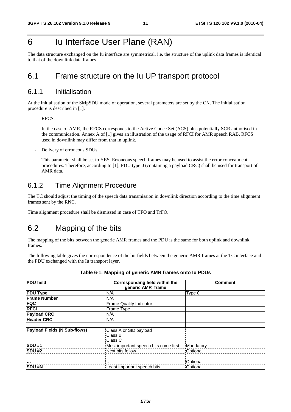# 6 Iu Interface User Plane (RAN)

The data structure exchanged on the Iu interface are symmetrical, i.e. the structure of the uplink data frames is identical to that of the downlink data frames.

### 6.1 Frame structure on the Iu UP transport protocol

#### 6.1.1 Initialisation

At the initialisation of the SMpSDU mode of operation, several parameters are set by the CN. The initialisation procedure is described in [1].

- RFCS:

 In the case of AMR, the RFCS corresponds to the Active Codec Set (ACS) plus potentially SCR authorised in the communication. Annex A of [1] gives an illustration of the usage of RFCI for AMR speech RAB. RFCS used in downlink may differ from that in uplink.

Delivery of erroneous SDUs:

 This parameter shall be set to YES. Erroneous speech frames may be used to assist the error concealment procedures. Therefore, according to [1], PDU type 0 (containing a payload CRC) shall be used for transport of AMR data.

### 6.1.2 Time Alignment Procedure

The TC should adjust the timing of the speech data transmission in downlink direction according to the time alignment frames sent by the RNC.

Time alignment procedure shall be dismissed in case of TFO and TrFO.

### 6.2 Mapping of the bits

The mapping of the bits between the generic AMR frames and the PDU is the same for both uplink and downlink frames.

The following table gives the correspondence of the bit fields between the generic AMR frames at the TC interface and the PDU exchanged with the Iu transport layer.

| <b>PDU field</b>                    | Corresponding field within the<br>generic AMR frame | <b>Comment</b>         |
|-------------------------------------|-----------------------------------------------------|------------------------|
| <b>PDU Type</b>                     | N/A                                                 | Type 0                 |
| <b>Frame Number</b>                 | N/A                                                 |                        |
| <b>FQC</b>                          | <b>Frame Quality Indicator</b>                      |                        |
| <b>RFCI</b>                         | Frame Type                                          |                        |
| <b>Payload CRC</b>                  | N/A                                                 |                        |
| <b>Header CRC</b>                   | N/A                                                 |                        |
|                                     |                                                     |                        |
| <b>Payload Fields (N Sub-flows)</b> | Class A or SID payload                              |                        |
|                                     | Class B                                             |                        |
|                                     | Class C                                             |                        |
| <b>SDU#1</b><br>_________________   | Most important speech bits come first               | Mandatory              |
| <b>SDU#2</b>                        | Next bits follow                                    | Optional               |
|                                     |                                                     | ______________________ |
|                                     | $\cdots$                                            | Optional               |
| SDU #N                              | Least important speech bits                         | Optional               |

#### **Table 6-1: Mapping of generic AMR frames onto Iu PDUs**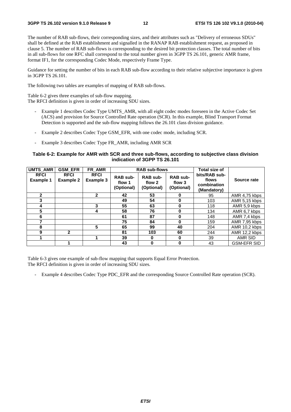The number of RAB sub-flows, their corresponding sizes, and their attributes such as "Delivery of erroneous SDUs" shall be defined at the RAB establishment and signalled in the RANAP RAB establishment request, as proposed in clause 5. The number of RAB sub-flows is corresponding to the desired bit protection classes. The total number of bits in all sub-flows for one RFC shall correspond to the total number given in 3GPP TS 26.101, generic AMR frame, format IF1, for the corresponding Codec Mode, respectively Frame Type.

Guidance for setting the number of bits in each RAB sub-flow according to their relative subjective importance is given in 3GPP TS 26.101.

The following two tables are examples of mapping of RAB sub-flows.

Table 6-2 gives three examples of sub-flow mapping.

The RFCI definition is given in order of increasing SDU sizes.

- Example 1 describes Codec Type UMTS AMR, with all eight codec modes foreseen in the Active Codec Set (ACS) and provision for Source Controlled Rate operation (SCR). In this example, Blind Transport Format Detection is supported and the sub-flow mapping follows the 26.101 class division guidance.
- Example 2 describes Codec Type GSM\_EFR, with one codec mode, including SCR.
- Example 3 describes Codec Type FR\_AMR, including AMR SCR

#### **Table 6-2: Example for AMR with SCR and three sub-flows, according to subjective class division indication of 3GPP TS 26.101**

| UMTS_AMR                        | <b>GSM_EFR</b>                  | FR_AMR                          | <b>RAB sub-flows</b>                    |                                         |                                         | <b>Total size of</b>                                 |                    |
|---------------------------------|---------------------------------|---------------------------------|-----------------------------------------|-----------------------------------------|-----------------------------------------|------------------------------------------------------|--------------------|
| <b>RFCI</b><br><b>Example 1</b> | <b>RFCI</b><br><b>Example 2</b> | <b>RFCI</b><br><b>Example 3</b> | <b>RAB sub-</b><br>flow 1<br>(Optional) | <b>RAB sub-</b><br>flow 2<br>(Optional) | <b>RAB sub-</b><br>flow 3<br>(Optional) | bits/RAB sub-<br>flows<br>combination<br>(Mandatory) | Source rate        |
| $\mathbf{2}$                    |                                 | $\mathbf{2}$                    | 42                                      | 53                                      | 0                                       | 95                                                   | AMR 4,75 kbps      |
| 3                               |                                 |                                 | 49                                      | 54                                      | $\bf{0}$                                | 103                                                  | AMR 5,15 kbps      |
| 4                               |                                 | 3                               | 55                                      | 63                                      | $\bf{0}$                                | 118                                                  | AMR 5.9 kbps       |
| 5                               |                                 | 4                               | 58                                      | 76                                      | 0                                       | 134                                                  | AMR 6,7 kbps       |
| 6                               |                                 |                                 | 61                                      | 87                                      | 0                                       | 148                                                  | AMR 7.4 kbps       |
| 7                               |                                 |                                 | 75                                      | 84                                      | 0                                       | 159                                                  | AMR 7,95 kbps      |
| 8                               |                                 | 5                               | 65                                      | 99                                      | 40                                      | 204                                                  | AMR 10,2 kbps      |
| 9                               | $\mathbf{2}$                    |                                 | 81                                      | 103                                     | 60                                      | 244                                                  | AMR 12,2 kbps      |
|                                 |                                 |                                 | 39                                      | 0                                       | $\bf{0}$                                | 39                                                   | AMR SID            |
|                                 |                                 |                                 | 43                                      | 0                                       | $\bf{0}$                                | 43                                                   | <b>GSM-EFR SID</b> |

Table 6-3 gives one example of sub-flow mapping that supports Equal Error Protection. The RFCI definition is given in order of increasing SDU sizes.

- Example 4 describes Codec Type PDC\_EFR and the corresponding Source Controlled Rate operation (SCR).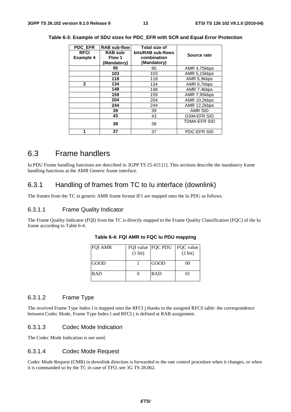| <b>PDC EFR</b><br><b>RFCI</b><br><b>Example 4</b> | <b>RAB sub-flow</b><br><b>RAB sub-</b><br>Flow 1<br>(Mandatory) | <b>Total size of</b><br>bits/RAB sub-flows<br>combination<br>(Mandatory) | Source rate         |
|---------------------------------------------------|-----------------------------------------------------------------|--------------------------------------------------------------------------|---------------------|
|                                                   | 95                                                              | 95                                                                       | AMR 4,75kbps        |
|                                                   | 103                                                             | 103                                                                      | AMR 5,15kbps        |
|                                                   | 118                                                             | 118                                                                      | AMR 5.9kbps         |
| $\mathbf{2}$                                      | 134                                                             | 134                                                                      | AMR 6,7kbps         |
|                                                   | 148                                                             | 148                                                                      | AMR 7,4kbps         |
|                                                   | 159                                                             | 159                                                                      | AMR 7,95kbps        |
|                                                   | 204                                                             | 204                                                                      | AMR 10,2kbps        |
|                                                   | 244                                                             | 244                                                                      | AMR 12,2kbps        |
|                                                   | 39                                                              | 39                                                                       | <b>AMR SID</b>      |
|                                                   | 43                                                              | 43                                                                       | <b>GSM-EFR SID</b>  |
|                                                   | 38                                                              | 38                                                                       | <b>TDMA-EFR SID</b> |
|                                                   | 37                                                              | 37                                                                       | PDC-EFR SID         |

**Table 6-3: Example of SDU sizes for PDC\_EFR with SCR and Equal Error Protection** 

### 6.3 Frame handlers

Iu PDU Frame handling functions are described in 3GPP TS 25.415 [1]. This sections describe the mandatory frame handling functions at the AMR Generic frame interface.

### 6.3.1 Handling of frames from TC to Iu interface (downlink)

The frames from the TC in generic AMR frame format IF1 are mapped onto the Iu PDU as follows.

#### 6.3.1.1 Frame Quality Indicator

The Frame Quality Indicator (FQI) from the TC is directly mapped to the Frame Quality Classification (FQC) of the Iu frame according to Table 6-4.

| <b>FQI AMR</b> |         | FQI value FQC PDU   FQC value |                |
|----------------|---------|-------------------------------|----------------|
|                | (1 bit) |                               | (2 bit)        |
|                |         |                               |                |
| <b>GOOD</b>    |         | <b>GOOD</b>                   | 0 <sup>0</sup> |
|                |         |                               |                |
| <b>BAD</b>     |         | <b>BAD</b>                    | 01             |
|                |         |                               |                |

**Table 6-4: FQI AMR to FQC Iu PDU mapping** 

#### 6.3.1.2 Frame Type

The received Frame Type Index l is mapped onto the RFCI j thanks to the assigned RFCS table: the correspondence between Codec Mode, Frame Type Index l and RFCI j is defined at RAB assignment.

#### 6.3.1.3 Codec Mode Indication

The Codec Mode Indication is not used.

#### 6.3.1.4 Codec Mode Request

Codec Mode Request (CMR) in downlink direction is forwarded to the rate control procedure when it changes, or when it is commanded so by the TC in case of TFO, see 3G TS 28.062.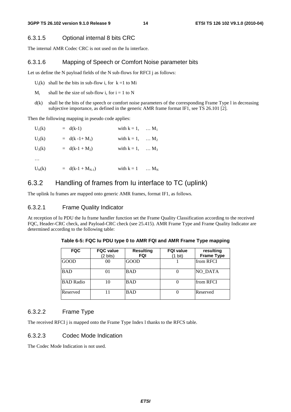#### 6.3.1.5 Optional internal 8 bits CRC

The internal AMR Codec CRC is not used on the Iu interface.

#### 6.3.1.6 Mapping of Speech or Comfort Noise parameter bits

Let us define the N payload fields of the N sub-flows for RFCI j as follows:

 $U_i(k)$  shall be the bits in sub-flow i, for  $k = 1$  to Mi

- $M<sub>i</sub>$  shall be the size of sub-flow i, for i = 1 to N
- d(k) shall be the bits of the speech or comfort noise parameters of the corresponding Frame Type l in decreasing subjective importance, as defined in the generic AMR frame format IF1, see TS 26.101 [2].

Then the following mapping in pseudo code applies:

| $U_1(k)$ | $= d(k-1)$           | with $k = 1, \dots, M_1$ |                         |
|----------|----------------------|--------------------------|-------------------------|
| $U_2(k)$ | $= d(k - 1 + M_1)$   | with $k = 1, \dots M_2$  |                         |
| $U_3(k)$ | $= d(k-1 + M_2)$     | with $k = 1, \dots, M_3$ |                         |
| $\cdots$ |                      |                          |                         |
| $U_N(k)$ | $= d(k-1 + M_{N-1})$ | with $k = 1$             | $\ldots$ M <sub>N</sub> |
|          |                      |                          |                         |

### 6.3.2 Handling of frames from Iu interface to TC (uplink)

The uplink Iu frames are mapped onto generic AMR frames, format IF1, as follows.

#### 6.3.2.1 Frame Quality Indicator

At reception of Iu PDU the Iu frame handler function set the Frame Quality Classification according to the received FQC, Header-CRC check, and Payload-CRC check (see 25.415). AMR Frame Type and Frame Quality Indicator are determined according to the following table:

| <b>FQC</b>       | <b>FQC</b> value<br>(2 bits) | <b>Resulting</b><br>FQI | <b>FQI value</b><br>(1 bit) | resulting<br><b>Frame Type</b> |
|------------------|------------------------------|-------------------------|-----------------------------|--------------------------------|
| <b>GOOD</b>      | 00                           | <b>GOOD</b>             |                             | from RFCI                      |
| <b>BAD</b>       | 01                           | <b>BAD</b>              |                             | NO DATA                        |
| <b>BAD</b> Radio | 10                           | <b>BAD</b>              |                             | from RFCI                      |
| Reserved         |                              | <b>BAD</b>              |                             | Reserved                       |

**Table 6-5: FQC Iu PDU type 0 to AMR FQI and AMR Frame Type mapping** 

#### 6.3.2.2 Frame Type

The received RFCI j is mapped onto the Frame Type Index l thanks to the RFCS table.

#### 6.3.2.3 Codec Mode Indication

The Codec Mode Indication is not used.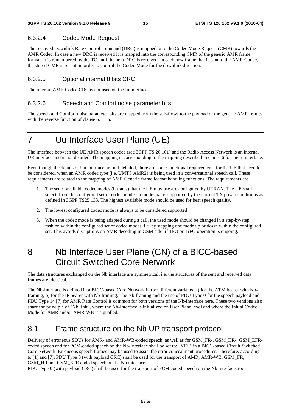#### 6.3.2.4 Codec Mode Request

The received Downlink Rate Control command (DRC) is mapped onto the Codec Mode Request (CMR) towards the AMR Codec. In case a new DRC is received it is mapped into the corresponding CMR of the generic AMR frame format. It is remembered by the TC until the next DRC is received. In each new frame that is sent to the AMR Codec, the stored CMR is resent, in order to control the Codec Mode for the downlink direction.

#### 6.3.2.5 Optional internal 8 bits CRC

The internal AMR Codec CRC is not used on the Iu interface.

#### 6.3.2.6 Speech and Comfort noise parameter bits

The speech and Comfort noise parameter bits are mapped from the sub-flows to the payload of the generic AMR frames with the reverse function of clause 6.3.1.6.

# 7 Uu Interface User Plane (UE)

The interface between the UE AMR speech codec (see 3GPP TS 26.101) and the Radio Access Network is an internal UE interface and is not detailed. The mapping is corresponding to the mapping described in clause 6 for the Iu interface.

Even though the details of Uu interface are not detailed, there are some functional requirements for the UE that need to be considered, when an AMR codec type (i.e. UMTS AMR2) is being used in a conversational speech call. These requirements are related to the mapping of AMR Generic frame format handling functions. The requirements are

- 1. The set of available codec modes (bitrates) that the UE may use are configured by UTRAN. The UE shall select, from the configured set of codec modes, a mode that is supported by the current TX power conditions as defined in 3GPP TS25.133. The highest available mode should be used for best speech quality.
- 2. The lowest configured codec mode is always to be considered supported.
- 3. When the codec mode is being adapted during a call, the used mode should be changed in a step-by-step fashion within the configured set of codec modes, i.e. by stepping one mode up or down within the configured set. This avoids disruptions on AMR decoding in GSM side, if TFO or TrFO operation is ongoing.

# 8 Nb Interface User Plane (CN) of a BICC-based Circuit Switched Core Network

The data structures exchanged on the Nb interface are symmetrical, i.e. the structures of the sent and received data frames are identical.

The Nb-Interface is defined in a BICC-based Core Network in two different variants, a) for the ATM bearer with Nbframing, b) for the IP bearer with Nb-framing. The Nb-framing and the use of PDU Type 0 for the speech payload and PDU Type 14 [7] for AMR Rate Control is common for both versions of the Nb-Interface here. These two versions also share the principle of "Nb\_Init", where the Nb-Interface is initialized on User Plane level and where the Initial Codec Mode for AMR and/or AMR-WB is signalled.

### 8.1 Frame structure on the Nb UP transport protocol

Delivery of erroneous SDUs for AMR- and AMR-WB-coded speech, as well as for GSM\_FR-, GSM\_HR-, GSM\_EFRcoded speech and for PCM-coded speech on the Nb-Interface shall be set to: "YES" in a BICC-based Circuit Switched Core Network. Erroneous speech frames may be used to assist the error concealment procedures. Therefore, according to [1] and [7], PDU Type 0 (with payload CRC) shall be used for the transport of AMR, AMR-WB, GSM\_FR, GSM\_HR and GSM\_EFR coded speech on the Nb interface.

PDU Type 0 (with payload CRC) shall be used for the transport of PCM coded speech on the Nb interface, too.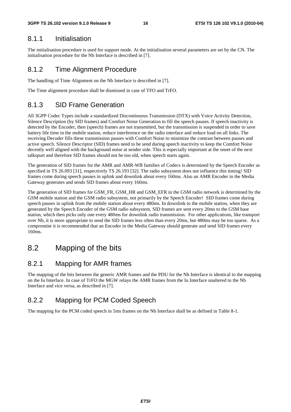#### 8.1.1 Initialisation

The initialisation procedure is used for support mode. At the initialisation several parameters are set by the CN. The initialisation procedure for the Nb Interface is described in [7].

#### 8.1.2 Time Alignment Procedure

The handling of Time Alignment on the Nb Interface is described in [7].

The Time alignment procedure shall be dismissed in case of TFO and TrFO.

### 8.1.3 SID Frame Generation

All 3GPP Codec Types include a standardized Discontinuous Transmission (DTX) with Voice Activity Detection, Silence Description (by SID frames) and Comfort Noise Generation to fill the speech pauses. If speech inactivity is detected by the Encoder, then (speech) frames are not transmitted, but the transmission is suspended in order to save battery life time in the mobile station, reduce interference on the radio interface and reduce load on all links. The receiving Decoder fills these transmission pauses with Comfort Noise to minimize the contrast between pauses and active speech. Silence Descriptor (SID) frames need to be send during speech inactivity to keep the Comfort Noise decently well aligned with the background noise at sender side. This is especially important at the onset of the next talkspurt and therefore SID frames should not be too old, when speech starts again.

The generation of SID frames for the AMR and AMR-WB families of Codecs is determined by the Speech Encoder as specified in TS 26.093 [31], respectively TS 26.193 [32]. The radio subsystem does not influence this timing! SID frames come during speech pauses in uplink and downlink about every 160ms. Also an AMR Encoder in the Media Gateway generates and sends SID frames about every 160ms.

The generation of SID frames for GSM\_FR, GSM\_HR and GSM\_EFR in the GSM radio network is determined by the GSM mobile station and the GSM radio subsystem, not primarily by the Speech Encoder! SID frames come during speech pauses in uplink from the mobile station about every 480ms. In downlink to the mobile station, when they are generated by the Speech Encoder of the GSM radio subsystem, SID frames are sent every 20ms to the GSM base station, which then picks only one every 480ms for downlink radio transmission. For other applications, like transport over Nb, it is more appropriate to send the SID frames less often than every 20ms, but 480ms may be too sparse. As a compromise it is recommended that an Encoder in the Media Gateway should generate and send SID frames every 160ms.

### 8.2 Mapping of the bits

#### 8.2.1 Mapping for AMR frames

The mapping of the bits between the generic AMR frames and the PDU for the Nb Interface is identical to the mapping on the Iu Interface. In case of TrFO the MGW relays the AMR frames from the Iu Interface unaltered to the Nb Interface and vice versa, as described in [7].

### 8.2.2 Mapping for PCM Coded Speech

The mapping for the PCM coded speech in 5ms frames on the Nb Interface shall be as defined in Table 8-1.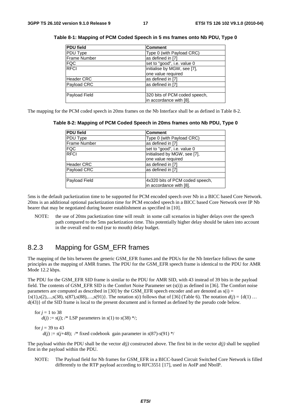| <b>PDU</b> field    | <b>Comment</b>                |
|---------------------|-------------------------------|
| PDU Type            | Type 0 (with Payload CRC)     |
| <b>Frame Number</b> | as defined in [7]             |
| <b>FQC</b>          | set to "good", i.e. value 0   |
| <b>RFCI</b>         | initialise by MGW, see [7],   |
|                     | one value required            |
| <b>Header CRC</b>   | as defined in [7]             |
| Payload CRC         | as defined in [7]             |
|                     |                               |
| Payload Field       | 320 bits of PCM coded speech, |
|                     | in accordance with [8].       |

**Table 8-1: Mapping of PCM Coded Speech in 5 ms frames onto Nb PDU, Type 0** 

The mapping for the PCM coded speech in 20ms frames on the Nb Interface shall be as defined in Table 8-2.

**Table 8-2: Mapping of PCM Coded Speech in 20ms frames onto Nb PDU, Type 0** 

| <b>PDU field</b>    | <b>Comment</b>                  |
|---------------------|---------------------------------|
| PDU Type            | Type 0 (with Payload CRC)       |
| <b>Frame Number</b> | as defined in [7]               |
| <b>FQC</b>          | set to "good", i.e. value 0     |
| <b>RFCI</b>         | initialised by MGW, see [7],    |
|                     | one value required              |
| <b>Header CRC</b>   | as defined in [7]               |
| Payload CRC         | as defined in [7]               |
|                     |                                 |
| Payload Field       | 4x320 bits of PCM coded speech, |
|                     | in accordance with [8].         |

5ms is the default packetization time to be supported for PCM encoded speech over Nb in a BICC based Core Network. 20ms is an additional optional packetization time for PCM encoded speech in a BICC based Core Network over IP Nb bearer that may be negotiated during bearer establishment as specified in [10].

NOTE: the use of 20ms packetization time will result in some call scenarios in higher delays over the speech path compared to the 5ms packetization time. This potentially higher delay should be taken into account in the overall end to end (ear to mouth) delay budget.

#### 8.2.3 Mapping for GSM\_EFR frames

The mapping of the bits between the generic GSM\_EFR frames and the PDUs for the Nb Interface follows the same principles as the mapping of AMR frames. The PDU for the GSM\_EFR speech frame is identical to the PDU for AMR Mode 12.2 kbps.

The PDU for the GSM\_EFR SID frame is similar to the PDU for AMR SID, with 43 instead of 39 bits in the payload field. The contents of GSM\_EFR SID is the Comfort Noise Parameter set (s(i)) as defined in [36]. The Comfort noise parameters are computed as described in [30] by the GSM\_EFR speech encoder and are denoted as  $s(i)$  =  $\{s(1), s(2), \ldots, s(38), s(87), s(88), \ldots, s(91)\}\$ . The notation *s(i)* follows that of [36] (Table 6). The notation  $d(i) = \{d(1), \ldots, d(i)\}\$ d(43)} of the SID frame is local to the present document and is formed as defined by the pseudo code below.

for  $j = 1$  to 38  $d(j) := s(j)$ ; /\* LSP parameters in  $s(1)$  to  $s(38)$  \*/;

for  $i = 39$  to 43

 $d(j) := s(j+48)$ ; /\* fixed codebook gain parameter in  $s(87)$ - $s(91)$  \*/

The payload within the PDU shall be the vector  $d(j)$  constructed above. The first bit in the vector  $d(j)$  shall be supplied first in the payload within the PDU.

NOTE: The Payload field for Nb frames for GSM\_EFR in a BICC-based Circuit Switched Core Network is filled differently to the RTP payload according to RFC3551 [17], used in AoIP and NboIP.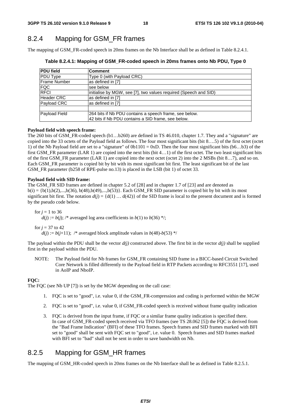### 8.2.4 Mapping for GSM\_FR frames

The mapping of GSM\_FR-coded speech in 20ms frames on the Nb Interface shall be as defined in Table 8.2.4.1.

| <b>PDU field</b>    | <b>Comment</b>                                                   |
|---------------------|------------------------------------------------------------------|
| PDU Type            | Type 0 (with Payload CRC)                                        |
| <b>Frame Number</b> | as defined in [7]                                                |
| <b>FQC</b>          | lsee below                                                       |
| <b>RFCI</b>         | initialise by MGW, see [7], two values required (Speech and SID) |
| <b>Header CRC</b>   | as defined in [7]                                                |
| Payload CRC         | as defined in [7]                                                |
|                     |                                                                  |
| Payload Field       | 264 bits if Nb PDU contains a speech frame, see below.           |
|                     | 42 bits if Nb PDU contains a SID frame, see below.               |

**Table 8.2.4.1: Mapping of GSM\_FR-coded speech in 20ms frames onto Nb PDU, Type 0** 

#### **Payload field with speech frame:**

The 260 bits of GSM\_FR-coded speech (b1…b260) are defined in TS 46.010, chapter 1.7. They and a "signature" are copied into the 33 octets of the Payload field as follows. The four most significant bits (bit 8….5) of the first octet (octet 1) of the Nb Payload field are set to a "signature" of  $0b1101 = 0xD$ . Then the four most significant bits (b6...b3) of the first GSM\_FR parameter (LAR 1) are copied into the next bits (bit 4...1) of the first octet. The two least significant bits of the first GSM\_FR parameter (LAR 1) are copied into the next octet (octet 2) into the 2 MSBs (bit 8…7), and so on. Each GSM\_FR parameter is copied bit by bit with its most significant bit first. The least significant bit of the last GSM FR parameter (b258 of RPE-pulse no.13) is placed in the LSB (bit 1) of octet 33.

#### **Payload field with SID frame:**

The GSM\_FR SID frames are defined in chapter 5.2 of [28] and in chapter 1.7 of [23] and are denoted as  $b(i) = \{b(1), b(2), \ldots, b(36), b(48), b(49), \ldots, b(53)\}\$ . Each GSM\_FR SID parameter is copied bit by bit with its most significant bit first. The notation  $d(i) = \{d(1) \dots d(42)\}\$  of the SID frame is local to the present document and is formed by the pseudo code below.

for  $j = 1$  to 36  $d(j) := b(j)$ ; /\* averaged log area coefficients in  $b(1)$  to  $b(36)$  \*/;

for  $j = 37$  to 42

 $d(i) := b(i+1)$ ; /\* averaged block amplitude values in  $b(48)$ - $b(53)$  \*/

The payload within the PDU shall be the vector  $d(i)$  constructed above. The first bit in the vector  $d(i)$  shall be supplied first in the payload within the PDU.

NOTE: The Payload field for Nb frames for GSM\_FR containing SID frame in a BICC-based Circuit Switched Core Network is filled differently to the Payload field in RTP Packets according to RFC3551 [17], used in AoIP and NboIP.

#### **FQC:**

The FQC (see Nb UP [7]) is set by the MGW depending on the call case:

- 1. FQC is set to "good", i.e. value 0, if the GSM\_FR-compression and coding is performed within the MGW
- 2. FQC is set to "good", i.e. value 0, if GSM\_FR-coded speech is received without frame quality indication
- 3. FQC is derived from the input frame, if FQC or a similar frame quality indication is specified there. In case of GSM\_FR-coded speech received via TFO frames (see TS 28.062 [5]) the FQC is derived from the "Bad Frame Indication" (BFI) of these TFO frames. Speech frames and SID frames marked with BFI set to "good" shall be sent with FQC set to "good", i.e. value 0. Speech frames and SID frames marked with BFI set to "bad" shall not be sent in order to save bandwidth on Nb.

### 8.2.5 Mapping for GSM\_HR frames

The mapping of GSM\_HR-coded speech in 20ms frames on the Nb Interface shall be as defined in Table 8.2.5.1.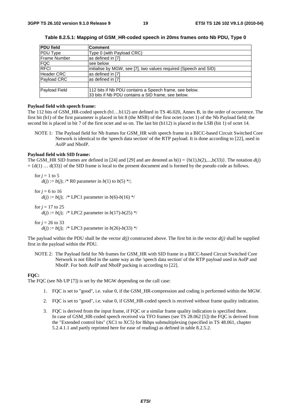| <b>PDU</b> field  | <b>Comment</b>                                                   |
|-------------------|------------------------------------------------------------------|
| <b>PDU Type</b>   | Type 0 (with Payload CRC)                                        |
| Frame Number      | as defined in [7]                                                |
| <b>FQC</b>        | lsee below                                                       |
| <b>RFCI</b>       | initialise by MGW, see [7], two values required (Speech and SID) |
| <b>Header CRC</b> | as defined in [7]                                                |
| Payload CRC       | as defined in [7]                                                |
|                   |                                                                  |
| Payload Field     | 112 bits if Nb PDU contains a Speech frame, see below.           |
|                   | 33 bits if Nb PDU contains a SID frame, see below.               |

**Table 8.2.5.1: Mapping of GSM\_HR-coded speech in 20ms frames onto Nb PDU, Type 0** 

#### **Payload field with speech frame:**

The 112 bits of GSM\_HR-coded speech (b1…b112) are defined in TS 46.020, Annex B, in the order of occurrence. The first bit (b1) of the first parameter is placed in bit 8 (the MSB) of the first octet (octet 1) of the Nb Payload field; the second bit is placed in bit 7 of the first octet and so on. The last bit (b112) is placed in the LSB (bit 1) of octet 14.

NOTE 1: The Payload field for Nb frames for GSM\_HR with speech frame in a BICC-based Circuit Switched Core Network is identical to the 'speech data section' of the RTP payload. It is done according to [22], used in AoIP and NboIP.

#### **Payload field with SID frame:**

The GSM\_HR SID frames are defined in [24] and [29] and are denoted as  $b(i) = \{b(1), b(2),...,b(33)\}\$ . The notation  $d(i)$  $= \{d(1) \dots d(33)\}\$  of the SID frame is local to the present document and is formed by the pseudo code as follows.

for  $j = 1$  to 5  $d(j) := b(j)$ ; /\* R0 parameter in  $b(1)$  to  $b(5)$  \*/;

for  $j = 6$  to 16  $d(i) := b(i)$ ; /\* LPC1 parameter in  $b(6)-b(16)$  \*/

for  $i = 17$  to 25  $d(i) := b(i)$ ; /\* LPC2 parameter in  $b(17)$ - $b(25)$  \*/

for  $i = 26$  to 33  $d(j) := b(j)$ ; /\* LPC3 parameter in  $b(26) - b(33)$  \*/

The payload within the PDU shall be the vector  $d(i)$  constructed above. The first bit in the vector  $d(i)$  shall be supplied first in the payload within the PDU.

NOTE 2: The Payload field for Nb frames for GSM\_HR with SID frame in a BICC-based Circuit Switched Core Network is not filled in the same way as the 'speech data section' of the RTP payload used in AoIP and NboIP. For both AoIP and NboIP packing is according to [22].

#### **FQC:**

The FQC (see Nb UP [7]) is set by the MGW depending on the call case:

- 1. FQC is set to "good", i.e. value 0, if the GSM\_HR-compression and coding is performed within the MGW.
- 2. FQC is set to "good", i.e. value 0, if GSM\_HR-coded speech is received without frame quality indication.
- 3. FQC is derived from the input frame, if FQC or a similar frame quality indication is specified there. In case of GSM\_HR-coded speech received via TFO frames (see TS 28.062 [5]) the FQC is derived from the "Extended control bits" (XC1 to XC5) for 8kbps submultiplexing (specified in TS 48.061, chapter 5.2.4.1.1 and partly reprinted here for ease of reading) as defined in table 8.2.5.2.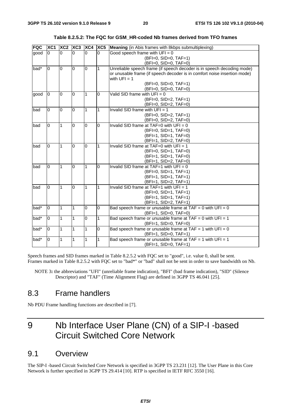| <b>FQC</b> | XC <sub>1</sub> | $XC2$ $XC3$    |                | XC4            | XC5            | Meaning (in Abis frames with 8kbps submultiplexing)                      |  |
|------------|-----------------|----------------|----------------|----------------|----------------|--------------------------------------------------------------------------|--|
| good       | 0               | $\overline{0}$ | l0             | $\Omega$       | $\Omega$       | Good speech frame with $UFI = 0$                                         |  |
|            |                 |                |                |                |                | (BFI=0, SID=0, TAF=1)                                                    |  |
|            |                 |                |                |                |                | (BFI=0, SID=0, TAF=0)                                                    |  |
| $bad^*$    | $\Omega$        | $\Omega$       | $\Omega$       | $\overline{0}$ | 1              | Unreliable speech frame (if speech decoder is in speech decoding mode)   |  |
|            |                 |                |                |                |                | or unusable frame (if speech decoder is in comfort noise insertion mode) |  |
|            |                 |                |                |                |                | with $UFI = 1$                                                           |  |
|            |                 |                |                |                |                | $(BFI=0, SID=0, TAF=1)$                                                  |  |
|            |                 |                |                |                |                | $(BFI=0, SID=0, TAF=0)$                                                  |  |
| good       | $\overline{0}$  | 0              | $\overline{0}$ | 1              | 0              | Valid SID frame with $UFI = 0$                                           |  |
|            |                 |                |                |                |                | $(BFI=0, SID=2, TAF=1)$                                                  |  |
|            |                 |                |                |                |                | (BFI=0, SID=2, TAF=0)                                                    |  |
| bad        | $\Omega$        | $\mathbf{0}$   | $\overline{0}$ | 1              | 1              | Invalid SID frame with $UFI = 1$                                         |  |
|            |                 |                |                |                |                | (BFI=0, SID=2, TAF=1)                                                    |  |
|            |                 |                |                |                |                | (BFI=0, SID=2, TAF=0)                                                    |  |
| bad        | 0               | 1              | $\Omega$       | 0              | $\overline{0}$ | Invalid SID frame at TAF=0 with $UFI = 0$                                |  |
|            |                 |                |                |                |                | (BFI=0, SID=1, TAF=0)                                                    |  |
|            |                 |                |                |                |                | (BFI=1, SID=1, TAF=0)                                                    |  |
|            |                 |                |                |                |                | (BFI=1, SID=2, TAF=0)                                                    |  |
| bad        | $\Omega$        | $\mathbf{1}$   | l0             | <sup>0</sup>   | 1              | Invalid SID frame at TAF=0 with $UFI = 1$                                |  |
|            |                 |                |                |                |                | $(BFI=0, SID=1, TAF=0)$                                                  |  |
|            |                 |                |                |                |                | (BFI=1, SID=1, TAF=0)                                                    |  |
|            |                 |                |                |                |                | (BFI=1, SID=2, TAF=0)                                                    |  |
| bad        | $\Omega$        | 1              | $\Omega$       | 1              | $\Omega$       | Invalid SID frame at TAF=1 with $UFI = 0$                                |  |
|            |                 |                |                |                |                | (BFI=0, SID=1, TAF=1)                                                    |  |
|            |                 |                |                |                |                | (BFI=1, SID=1, TAF=1)                                                    |  |
|            |                 |                |                |                |                | (BFI=1, SID=2, TAF=1)                                                    |  |
| bad        | $\Omega$        | $\mathbf 1$    | $\overline{0}$ | 1              | 1              | Invalid SID frame at TAF=1 with $UFI = 1$                                |  |
|            |                 |                |                |                |                | (BFI=0, SID=1, TAF=1)                                                    |  |
|            |                 |                |                |                |                | (BFI=1, SID=1, TAF=1)                                                    |  |
|            |                 |                |                |                |                | (BFI=1, SID=2, TAF=1)                                                    |  |
| bad*       | $\Omega$        | 1              | 1              | 0              | $\overline{0}$ | Bad speech frame or unusable frame at TAF = 0 with $UFI = 0$             |  |
|            |                 |                |                |                |                | (BFI=1, SID=0, TAF=0)                                                    |  |
| bad*       | $\overline{0}$  | 1              | 1              | $\overline{0}$ | 1              | Bad speech frame or unusable frame at $TAF = 0$ with $UFI = 1$           |  |
|            |                 |                |                |                |                | (BFI=1, SID=0, TAF=0)                                                    |  |
| bad*       | $\overline{0}$  | 1              | 1              | 1              | O              | Bad speech frame or unusable frame at TAF = 1 with $UFI = 0$             |  |
|            |                 |                |                |                |                | (BFI=1, SID=0, TAF=1)                                                    |  |
| bad*       | $\overline{0}$  | 1              | 1              | 1              | 1              | Bad speech frame or unusable frame at TAF = 1 with $UFI = 1$             |  |
|            |                 |                |                |                |                | (BFI=1, SID=0, TAF=1)                                                    |  |

**Table 8.2.5.2: The FQC for GSM\_HR-coded Nb frames derived from TFO frames** 

Speech frames and SID frames marked in Table 8.2.5.2 with FQC set to "good", i.e. value 0, shall be sent. Frames marked in Table 8.2.5.2 with FQC set to "bad\*" or "bad" shall not be sent in order to save bandwidth on Nb.

NOTE 3**:** the abbreviations "UFI" (unreliable frame indication), "BFI" (bad frame indication), "SID" (Silence Descriptor) and "TAF" (Time Alignment Flag) are defined in 3GPP TS 46.041 [25].

### 8.3 Frame handlers

Nb PDU Frame handling functions are described in [7].

# 9 Nb Interface User Plane (CN) of a SIP-I -based Circuit Switched Core Network

### 9.1 Overview

The SIP-I -based Circuit Switched Core Network is specified in 3GPP TS 23.231 [12]. The User Plane in this Core Network is further specified in 3GPP TS 29.414 [10]. RTP is specified in IETF RFC 3550 [16].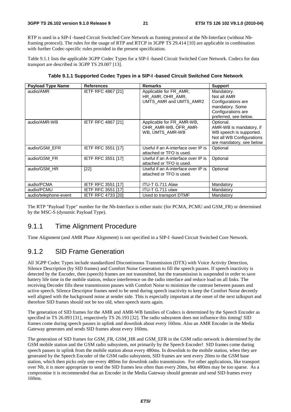RTP is used in a SIP-I -based Circuit Switched Core Network as framing protocol at the Nb-Interface (without Nbframing protocol). The rules for the usage of RTP and RTCP in 3GPP TS 29.414 [10] are applicable in combination with further Codec-specific rules provided in the present specification.

Table 9.1.1 lists the applicable 3GPP Codec Types for a SIP-I -based Circuit Switched Core Network. Codecs for data transport are described in 3GPP TS 29.007 [13].

| <b>Payload Type Name</b> | <b>References</b>         | <b>Remarks</b>                      | <b>Support</b>            |
|--------------------------|---------------------------|-------------------------------------|---------------------------|
| audio/AMR                | <b>IETF RFC 4867 [21]</b> | Applicable for FR_AMR,              | Mandatory.                |
|                          |                           | HR AMR, OHR AMR,                    | Not all AMR               |
|                          |                           | UMTS_AMR and UMTS_AMR2              | Configurations are        |
|                          |                           |                                     | mandatory. Some           |
|                          |                           |                                     | Configurations are        |
|                          |                           |                                     | preferred, see below.     |
| audio/AMR-WB             | <b>IETF RFC 4867 [21]</b> | Applicable for FR_AMR-WB,           | Optional.                 |
|                          |                           | OHR AMR-WB, OFR AMR-                | AMR-WB is mandatory, if   |
|                          |                           | WB, UMTS_AMR-WB                     | WB speech is supported.   |
|                          |                           |                                     | Not all WB Configurations |
|                          |                           |                                     | are mandatory, see below  |
| audio/GSM EFR            | <b>IETF RFC 3551 [17]</b> | Useful if an A-interface over IP is | Optional                  |
|                          |                           | attached or TFO is used.            |                           |
| audio/GSM FR             | <b>IETF RFC 3551 [17]</b> | Useful if an A-interface over IP is | Optional                  |
|                          |                           | attached or TFO is used.            |                           |
| audio/GSM HR             | $[22]$                    | Useful if an A-interface over IP is | Optional                  |
|                          |                           | attached or TFO is used.            |                           |
|                          |                           |                                     |                           |
| audio/PCMA               | <b>IETF RFC 3551 [17]</b> | ITU-T G.711 Alaw                    | Mandatory                 |
| audio/PCMU               | <b>IETF RFC 3551 [17]</b> | ITU-T G.711 ulaw                    | Mandatory                 |
| audio/telephone-event    | <b>IETF RFC 4733 [20]</b> | Used to transport DTMF              | Mandatory                 |

**Table 9.1.1 Supported Codec Types in a SIP-I -based Circuit Switched Core Network** 

The RTP "Payload Type" number for the Nb-Interface is either static (for PCMA, PCMU and GSM\_FR) or determined by the MSC-S (dynamic Payload Type).

### 9.1.1 Time Alignment Procedure

Time Alignment (and AMR Phase Alignment) is not specified in a SIP-I -based Circuit Switched Core Network.

### 9.1.2 SID Frame Generation

All 3GPP Codec Types include standardized Discontinuous Transmission (DTX) with Voice Activity Detection, Silence Description (by SID frames) and Comfort Noise Generation to fill the speech pauses. If speech inactivity is detected by the Encoder, then (speech) frames are not transmitted, but the transmission is suspended in order to save battery life time in the mobile station, reduce interference on the radio interface and reduce load on all links. The receiving Decoder fills these transmission pauses with Comfort Noise to minimize the contrast between pauses and active speech. Silence Descriptor frames need to be send during speech inactivity to keep the Comfort Noise decently well aligned with the background noise at sender side. This is especially important at the onset of the next talkspurt and therefore SID frames should not be too old, when speech starts again.

The generation of SID frames for the AMR and AMR-WB families of Codecs is determined by the Speech Encoder as specified in TS 26.093 [31], respectively TS 26.193 [32]. The radio subsystem does not influence this timing! SID frames come during speech pauses in uplink and downlink about every 160ms. Also an AMR Encoder in the Media Gateway generates and sends SID frames about every 160ms.

The generation of SID frames for GSM\_FR, GSM\_HR and GSM\_EFR in the GSM radio network is determined by the GSM mobile station and the GSM radio subsystem, not primarily by the Speech Encoder! SID frames come during speech pauses in uplink from the mobile station about every 480ms. In downlink to the mobile station, when they are generated by the Speech Encoder of the GSM radio subsystem, SID frames are sent every 20ms to the GSM base station, which then picks only one every 480ms for downlink radio transmission. For other applications, like transport over Nb, it is more appropriate to send the SID frames less often than every 20ms, but 480ms may be too sparse. As a compromise it is recommended that an Encoder in the Media Gateway should generate and send SID frames every 160ms.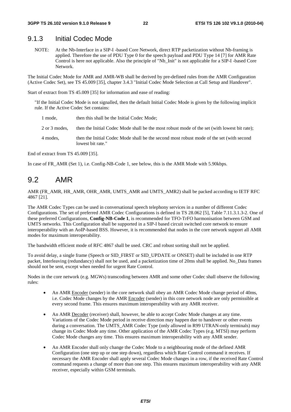#### 9.1.3 Initial Codec Mode

NOTE: At the Nb-Interface in a SIP-I -based Core Network, direct RTP packetization without Nb-framing is applied. Therefore the use of PDU Type 0 for the speech payload and PDU Type 14 [7] for AMR Rate Control is here not applicable. Also the principle of "Nb\_Init" is not applicable for a SIP-I -based Core Network.

The Initial Codec Mode for AMR and AMR-WB shall be derived by pre-defined rules from the AMR Configuration (Active Codec Set), see TS 45.009 [35], chapter 3.4.3 "Initial Codec Mode Selection at Call Setup and Handover".

Start of extract from TS 45.009 [35] for information and ease of reading:

"If the Initial Codec Mode is not signalled, then the default Initial Codec Mode is given by the following implicit rule. If the Active Codec Set contains:

- 1 mode, then this shall be the Initial Codec Mode;
- 2 or 3 modes, then the Initial Codec Mode shall be the most robust mode of the set (with lowest bit rate);
- 4 modes, then the Initial Codec Mode shall be the second most robust mode of the set (with second lowest bit rate."

End of extract from TS 45.009 [35].

In case of FR\_AMR (Set 1), i.e. Config-NB-Code 1, see below, this is the AMR Mode with 5.90kbps.

### 9.2 AMR

AMR (FR\_AMR, HR\_AMR, OHR\_AMR, UMTS\_AMR and UMTS\_AMR2) shall be packed according to IETF RFC 4867 [21].

The AMR Codec Types can be used in conversational speech telephony services in a number of different Codec Configurations. The set of preferred AMR Codec Configurations is defined in TS 28.062 [5], Table 7.11.3.1.3-2. One of these preferred Configurations, **Config-NB-Code 1**, is recommended for TFO-TrFO harmonisation between GSM and UMTS networks. This Configuration shall be supported in a SIP-I based circuit switched core network to ensure interoperability with an AoIP-based BSS. However, it is recommended that nodes in the core network support all AMR modes for maximum interoperability.

The bandwidth efficient mode of RFC 4867 shall be used. CRC and robust sorting shall not be applied.

To avoid delay, a single frame (Speech or SID\_FIRST or SID\_UPDATE or ONSET) shall be included in one RTP packet, Interleaving (redundancy) shall not be used, and a packetization time of 20ms shall be applied. No\_Data frames should not be sent, except when needed for urgent Rate Control.

Nodes in the core network (e.g. MGWs) transcoding between AMR and some other Codec shall observe the following rules:

- An AMR Encoder (sender) in the core network shall obey an AMR Codec Mode change period of 40ms, i.e. Codec Mode changes by the AMR Encoder (sender) in this core network node are only permissible at every second frame. This ensures maximum interoperability with any AMR receiver.
- An AMR Decoder (receiver) shall, however, be able to accept Codec Mode changes at any time. Variations of the Codec Mode period in receive direction may happen due to handover or other events during a conversation. The UMTS\_AMR Codec Type (only allowed in R99 UTRAN-only terminals) may change its Codec Mode any time. Other application of the AMR Codec Types (e.g. MTSI) may perform Codec Mode changes any time. This ensures maximum interoperability with any AMR sender.
- An AMR Encoder shall only change the Codec Mode to a neighbouring mode of the defined AMR Configuration (one step up or one step down), regardless which Rate Control command it receives. If necessary the AMR Encoder shall apply several Codec Mode changes in a row, if the received Rate Control command requests a change of more than one step. This ensures maximum interoperability with any AMR receiver, especially within GSM terminals.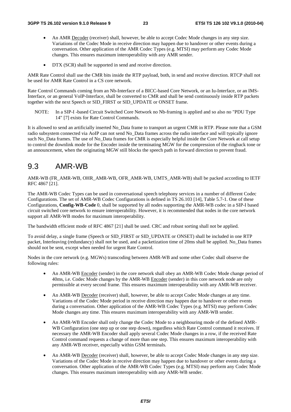- An AMR Decoder (receiver) shall, however, be able to accept Codec Mode changes in any step size. Variations of the Codec Mode in receive direction may happen due to handover or other events during a conversation. Other application of the AMR Codec Types (e.g. MTSI) may perform any Codec Mode changes. This ensures maximum interoperability with any AMR sender.
- DTX (SCR) shall be supported in send and receive direction.

AMR Rate Control shall use the CMR bits inside the RTP payload, both, in send and receive direction. RTCP shall not be used for AMR Rate Control in a CS core network.

Rate Control Commands coming from an Nb-Interface of a BICC-based Core Network, or an Iu-Interface, or an IMS-Interface, or an general VoIP-Interface, shall be converted to CMR and shall be send continuously inside RTP packets together with the next Speech or SID\_FIRST or SID\_UPDATE or ONSET frame.

NOTE: In a SIP-I -based Circuit Switched Core Network no Nb-framing is applied and so also no "PDU Type 14" [7] exists for Rate Control Commands.

It is allowed to send an artificially inserted No\_Data frame to transport an urgent CMR in RTP. Please note that a GSM radio subsystem connected via AoIP can not send No\_Data frames across the radio interface and will typically ignore such No\_Data frames. The use of No\_Data frames for CMR is especially helpful inside the Core Network at call setup to control the downlink mode for the Encoder inside the terminating MGW for the compression of the ringback tone or an announcement, when the originating MGW still blocks the speech path in forward direction to prevent fraud.

### 9.3 AMR-WB

AMR-WB (FR\_AMR-WB, OHR\_AMR-WB, OFR\_AMR-WB, UMTS\_AMR-WB) shall be packed according to IETF RFC 4867 [21].

The AMR-WB Codec Types can be used in conversational speech telephony services in a number of different Codec Configurations. The set of AMR-WB Codec Configurations is defined in TS 26.103 [14], Table 5.7-1. One of these Configurations, **Config-WB-Code** 0, shall be supported by all nodes supporting the AMR-WB codec in a SIP-I based circuit switched core network to ensure interoperability. However, it is recommended that nodes in the core network support all AMR-WB modes for maximum interoperability.

The bandwidth efficient mode of RFC 4867 [21] shall be used. CRC and robust sorting shall not be applied.

To avoid delay, a single frame (Speech or SID\_FIRST or SID\_UPDATE or ONSET) shall be included in one RTP packet, Interleaving (redundancy) shall not be used, and a packetization time of 20ms shall be applied. No\_Data frames should not be sent, except when needed for urgent Rate Control.

Nodes in the core network (e.g. MGWs) transcoding between AMR-WB and some other Codec shall observe the following rules:

- An AMR-WB Encoder (sender) in the core network shall obey an AMR-WB Codec Mode change period of 40ms, i.e. Codec Mode changes by the AMR-WB Encoder (sender) in this core network node are only permissible at every second frame. This ensures maximum interoperability with any AMR-WB receiver.
- An AMR-WB Decoder (receiver) shall, however, be able to accept Codec Mode changes at any time. Variations of the Codec Mode period in receive direction may happen due to handover or other events during a conversation. Other application of the AMR-WB Codec Types (e.g. MTSI) may perform Codec Mode changes any time. This ensures maximum interoperability with any AMR-WB sender.
- An AMR-WB Encoder shall only change the Codec Mode to a neighbouring mode of the defined AMR-WB Configuration (one step up or one step down), regardless which Rate Control command it receives. If necessary the AMR-WB Encoder shall apply several Codec Mode changes in a row, if the received Rate Control command requests a change of more than one step. This ensures maximum interoperability with any AMR-WB receiver, especially within GSM terminals.
- An AMR-WB Decoder (receiver) shall, however, be able to accept Codec Mode changes in any step size. Variations of the Codec Mode in receive direction may happen due to handover or other events during a conversation. Other application of the AMR-WB Codec Types (e.g. MTSI) may perform any Codec Mode changes. This ensures maximum interoperability with any AMR-WB sender.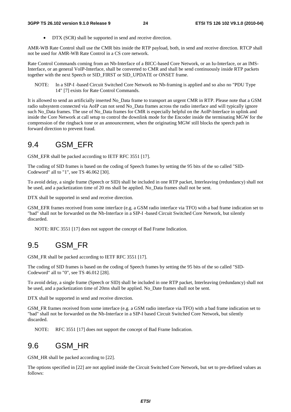• DTX (SCR) shall be supported in send and receive direction.

AMR-WB Rate Control shall use the CMR bits inside the RTP payload, both, in send and receive direction. RTCP shall not be used for AMR-WB Rate Control in a CS core network.

Rate Control Commands coming from an Nb-Interface of a BICC-based Core Network, or an Iu-Interface, or an IMS-Interface, or an general VoIP-Interface, shall be converted to CMR and shall be send continuously inside RTP packets together with the next Speech or SID\_FIRST or SID\_UPDATE or ONSET frame.

NOTE: In a SIP-I -based Circuit Switched Core Network no Nb-framing is applied and so also no "PDU Type 14" [7] exists for Rate Control Commands.

It is allowed to send an artificially inserted No\_Data frame to transport an urgent CMR in RTP. Please note that a GSM radio subsystem connected via AoIP can not send No Data frames across the radio interface and will typically ignore such No\_Data frames. The use of No\_Data frames for CMR is especially helpful on the AoIP-Interface in uplink and inside the Core Network at call setup to control the downlink mode for the Encoder inside the terminating MGW for the compression of the ringback tone or an announcement, when the originating MGW still blocks the speech path in forward direction to prevent fraud.

### 9.4 GSM\_EFR

GSM\_EFR shall be packed according to IETF RFC 3551 [17].

The coding of SID frames is based on the coding of Speech frames by setting the 95 bits of the so called "SID-Codeword" all to "1", see TS 46.062 [30].

To avoid delay, a single frame (Speech or SID) shall be included in one RTP packet, Interleaving (redundancy) shall not be used, and a packetization time of 20 ms shall be applied. No\_Data frames shall not be sent.

DTX shall be supported in send and receive direction.

GSM\_EFR frames received from some interface (e.g. a GSM radio interface via TFO) with a bad frame indication set to "bad" shall not be forwarded on the Nb-Interface in a SIP-I -based Circuit Switched Core Network, but silently discarded.

NOTE: RFC 3551 [17] does not support the concept of Bad Frame Indication.

### 9.5 GSM\_FR

GSM FR shall be packed according to IETF RFC 3551 [17].

The coding of SID frames is based on the coding of Speech frames by setting the 95 bits of the so called "SID-Codeword" all to "0", see TS 46.012 [28].

To avoid delay, a single frame (Speech or SID) shall be included in one RTP packet, Interleaving (redundancy) shall not be used, and a packetization time of 20ms shall be applied. No\_Date frames shall not be sent.

DTX shall be supported in send and receive direction.

GSM\_FR frames received from some interface (e.g. a GSM radio interface via TFO) with a bad frame indication set to "bad" shall not be forwarded on the Nb-Interface in a SIP-I based Circuit Switched Core Network, but silently discarded.

NOTE: RFC 3551 [17] does not support the concept of Bad Frame Indication.

### 9.6 GSM\_HR

GSM HR shall be packed according to [22].

The options specified in [22] are not applied inside the Circuit Switched Core Network, but set to pre-defined values as follows: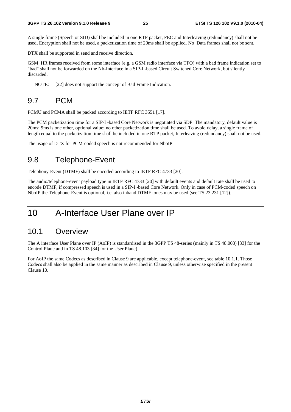#### **3GPP TS 26.102 version 9.1.0 Release 9 25 ETSI TS 126 102 V9.1.0 (2010-04)**

A single frame (Speech or SID) shall be included in one RTP packet, FEC and Interleaving (redundancy) shall not be used, Encryption shall not be used, a packetization time of 20ms shall be applied. No\_Data frames shall not be sent.

DTX shall be supported in send and receive direction.

GSM HR frames received from some interface (e.g. a GSM radio interface via TFO) with a bad frame indication set to "bad" shall not be forwarded on the Nb-Interface in a SIP-I -based Circuit Switched Core Network, but silently discarded.

NOTE: [22] does not support the concept of Bad Frame Indication.

### 9.7 PCM

PCMU and PCMA shall be packed according to IETF RFC 3551 [17].

The PCM packetization time for a SIP-I -based Core Network is negotiated via SDP. The mandatory, default value is 20ms; 5ms is one other, optional value; no other packetization time shall be used. To avoid delay, a single frame of length equal to the packetization time shall be included in one RTP packet, Interleaving (redundancy) shall not be used.

The usage of DTX for PCM-coded speech is not recommended for NboIP.

### 9.8 Telephone-Event

Telephony-Event (DTMF) shall be encoded according to IETF RFC 4733 [20].

The audio/telephone-event payload type in IETF RFC 4733 [20] with default events and default rate shall be used to encode DTMF, if compressed speech is used in a SIP-I -based Core Network. Only in case of PCM-coded speech on NboIP the Telephone-Event is optional, i.e. also inband DTMF tones may be used (see TS 23.231 [12]).

# 10 A-Interface User Plane over IP

#### 10.1 Overview

The A interface User Plane over IP (AoIP) is standardised in the 3GPP TS 48-series (mainly in TS 48.008) [33] for the Control Plane and in TS 48.103 [34] for the User Plane).

For AoIP the same Codecs as described in Clause 9 are applicable, except telephone-event, see table 10.1.1. Those Codecs shall also be applied in the same manner as described in Clause 9, unless otherwise specified in the present Clause 10.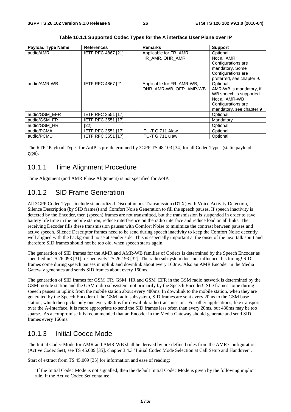| <b>Payload Type Name</b> | <b>References</b>         | <b>Remarks</b>            | <b>Support</b>            |
|--------------------------|---------------------------|---------------------------|---------------------------|
| audio/AMR                | IETF RFC 4867 [21]        | Applicable for FR_AMR,    | Optional.                 |
|                          |                           | HR_AMR, OHR_AMR           | Not all AMR               |
|                          |                           |                           | Configurations are        |
|                          |                           |                           | mandatory. Some           |
|                          |                           |                           | Configurations are        |
|                          |                           |                           | preferred, see chapter 9. |
| audio/AMR-WB             | <b>IETF RFC 4867 [21]</b> | Applicable for FR_AMR-WB, | Optional.                 |
|                          |                           | OHR_AMR-WB, OFR_AMR-WB    | AMR-WB is mandatory, if   |
|                          |                           |                           | WB speech is supported.   |
|                          |                           |                           | Not all AMR-WB            |
|                          |                           |                           | Configurations are        |
|                          |                           |                           | mandatory, see chapter 9  |
| audio/GSM EFR            | <b>IETF RFC 3551 [17]</b> |                           | Optional                  |
| audio/GSM FR             | <b>IETF RFC 3551 [17]</b> |                           | Mandatory                 |
| audio/GSM HR             | [22]                      |                           | Optional                  |
| audio/PCMA               | IETF RFC 3551 [17]        | ITU-T G.711 Alaw          | Optional                  |
| audio/PCMU               | IETF RFC 3551 [17]        | ITU-T G.711 ulaw          | Optional                  |

**Table 10.1.1 Supported Codec Types for the A interface User Plane over IP** 

The RTP "Payload Type" for AoIP is pre-determined by 3GPP TS 48.103 [34] for all Codec Types (static payload type).

#### 10.1.1 Time Alignment Procedure

Time Alignment (and AMR Phase Alignment) is not specified for AoIP.

### 10.1.2 SID Frame Generation

All 3GPP Codec Types include standardized Discontinuous Transmission (DTX) with Voice Activity Detection, Silence Description (by SID frames) and Comfort Noise Generation to fill the speech pauses. If speech inactivity is detected by the Encoder, then (speech) frames are not transmitted, but the transmission is suspended in order to save battery life time in the mobile station, reduce interference on the radio interface and reduce load on all links. The receiving Decoder fills these transmission pauses with Comfort Noise to minimize the contrast between pauses and active speech. Silence Descriptor frames need to be send during speech inactivity to keep the Comfort Noise decently well aligned with the background noise at sender side. This is especially important at the onset of the next talk spurt and therefore SID frames should not be too old, when speech starts again.

The generation of SID frames for the AMR and AMR-WB families of Codecs is determined by the Speech Encoder as specified in TS 26.093 [31], respectively TS 26.193 [32]. The radio subsystem does not influence this timing! SID frames come during speech pauses in uplink and downlink about every 160ms. Also an AMR Encoder in the Media Gateway generates and sends SID frames about every 160ms.

The generation of SID frames for GSM\_FR, GSM\_HR and GSM\_EFR in the GSM radio network is determined by the GSM mobile station and the GSM radio subsystem, not primarily by the Speech Encoder! SID frames come during speech pauses in uplink from the mobile station about every 480ms. In downlink to the mobile station, when they are generated by the Speech Encoder of the GSM radio subsystem, SID frames are sent every 20ms to the GSM base station, which then picks only one every 480ms for downlink radio transmission. For other applications, like transport over the A-Interface, it is more appropriate to send the SID frames less often than every 20ms, but 480ms may be too sparse. As a compromise it is recommended that an Encoder in the Media Gateway should generate and send SID frames every 160ms.

#### 10.1.3 Initial Codec Mode

The Initial Codec Mode for AMR and AMR-WB shall be derived by pre-defined rules from the AMR Configuration (Active Codec Set), see TS 45.009 [35], chapter 3.4.3 "Initial Codec Mode Selection at Call Setup and Handover".

Start of extract from TS 45.009 [35] for information and ease of reading:

"If the Initial Codec Mode is not signalled, then the default Initial Codec Mode is given by the following implicit rule. If the Active Codec Set contains: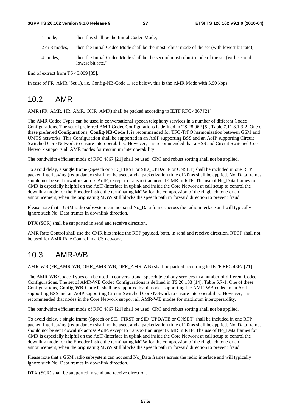- 1 mode, then this shall be the Initial Codec Mode;
- 2 or 3 modes, then the Initial Codec Mode shall be the most robust mode of the set (with lowest bit rate);
- 4 modes, then the Initial Codec Mode shall be the second most robust mode of the set (with second lowest bit rate."

End of extract from TS 45.009 [35].

In case of FR\_AMR (Set 1), i.e. Config-NB-Code 1, see below, this is the AMR Mode with 5.90 kbps.

### 10.2 AMR

AMR (FR\_AMR, HR\_AMR, OHR\_AMR) shall be packed according to IETF RFC 4867 [21].

The AMR Codec Types can be used in conversational speech telephony services in a number of different Codec Configurations. The set of preferred AMR Codec Configurations is defined in TS 28.062 [5], Table 7.11.3.1.3-2. One of these preferred Configurations, **Config-NB-Code 1**, is recommended for TFO-TrFO harmonisation between GSM and UMTS networks. This Configuration shall be supported in an AoIP supporting BSS and an AoIP supporting Circuit Switched Core Network to ensure interoperability. However, it is recommended that a BSS and Circuit Switched Core Network supports all AMR modes for maximum interoperability.

The bandwidth efficient mode of RFC 4867 [21] shall be used. CRC and robust sorting shall not be applied.

To avoid delay, a single frame (Speech or SID\_FIRST or SID\_UPDATE or ONSET) shall be included in one RTP packet, Interleaving (redundancy) shall not be used, and a packetization time of 20ms shall be applied. No\_Data frames should not be sent downlink across AoIP, except to transport an urgent CMR in RTP. The use of No\_Data frames for CMR is especially helpful on the AoIP-Interface in uplink and inside the Core Network at call setup to control the downlink mode for the Encoder inside the terminating MGW for the compression of the ringback tone or an announcement, when the originating MGW still blocks the speech path in forward direction to prevent fraud.

Please note that a GSM radio subsystem can not send No\_Data frames across the radio interface and will typically ignore such No\_Data frames in downlink direction.

DTX (SCR) shall be supported in send and receive direction.

AMR Rate Control shall use the CMR bits inside the RTP payload, both, in send and receive direction. RTCP shall not be used for AMR Rate Control in a CS network.

### 10.3 AMR-WB

AMR-WB (FR\_AMR-WB, OHR\_AMR-WB, OFR\_AMR-WB) shall be packed according to IETF RFC 4867 [21].

The AMR-WB Codec Types can be used in conversational speech telephony services in a number of different Codec Configurations. The set of AMR-WB Codec Configurations is defined in TS 26.103 [14], Table 5.7-1. One of these Configurations, **Config-WB-Code 0,** shall be supported by all nodes supporting the AMR-WB codec in an AoIPsupporting BSS and an AoIP-supporting Circuit Switched Core Network to ensure interoperability. However, it is recommended that nodes in the Core Network support all AMR-WB modes for maximum interoperability.

The bandwidth efficient mode of RFC 4867 [21] shall be used. CRC and robust sorting shall not be applied.

To avoid delay, a single frame (Speech or SID\_FIRST or SID\_UPDATE or ONSET) shall be included in one RTP packet, Interleaving (redundancy) shall not be used, and a packetization time of 20ms shall be applied. No\_Data frames should not be sent downlink across AoIP, except to transport an urgent CMR in RTP. The use of No\_Data frames for CMR is especially helpful on the AoIP-Interface in uplink and inside the Core Network at call setup to control the downlink mode for the Encoder inside the terminating MGW for the compression of the ringback tone or an announcement, when the originating MGW still blocks the speech path in forward direction to prevent fraud.

Please note that a GSM radio subsystem can not send No. Data frames across the radio interface and will typically ignore such No\_Data frames in downlink direction.

DTX (SCR) shall be supported in send and receive direction.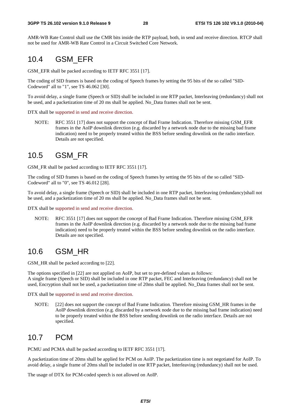AMR-WB Rate Control shall use the CMR bits inside the RTP payload, both, in send and receive direction. RTCP shall not be used for AMR-WB Rate Control in a Circuit Switched Core Network.

### 10.4 GSM\_EFR

GSM\_EFR shall be packed according to IETF RFC 3551 [17].

The coding of SID frames is based on the coding of Speech frames by setting the 95 bits of the so called "SID-Codeword" all to "1", see TS 46.062 [30].

To avoid delay, a single frame (Speech or SID) shall be included in one RTP packet, Interleaving (redundancy) shall not be used, and a packetization time of 20 ms shall be applied. No\_Data frames shall not be sent.

DTX shall be supported in send and receive direction.

NOTE: RFC 3551 [17] does not support the concept of Bad Frame Indication. Therefore missing GSM\_EFR frames in the AoIP downlink direction (e.g. discarded by a network node due to the missing bad frame indication) need to be properly treated within the BSS before sending downlink on the radio interface. Details are not specified.

### 10.5 GSM\_FR

GSM\_FR shall be packed according to IETF RFC 3551 [17].

The coding of SID frames is based on the coding of Speech frames by setting the 95 bits of the so called "SID-Codeword" all to "0", see TS 46.012 [28].

To avoid delay, a single frame (Speech or SID) shall be included in one RTP packet, Interleaving (redundancy)shall not be used, and a packetization time of 20 ms shall be applied. No\_Data frames shall not be sent.

DTX shall be supported in send and receive direction.

NOTE: RFC 3551 [17] does not support the concept of Bad Frame Indication. Therefore missing GSM\_EFR frames in the AoIP downlink direction (e.g. discarded by a network node due to the missing bad frame indication) need to be properly treated within the BSS before sending downlink on the radio interface. Details are not specified.

### 10.6 GSM\_HR

GSM\_HR shall be packed according to [22].

The options specified in [22] are not applied on AoIP, but set to pre-defined values as follows: A single frame (Speech or SID) shall be included in one RTP packet, FEC and Interleaving (redundancy) shall not be used, Encryption shall not be used, a packetization time of 20ms shall be applied. No\_Data frames shall not be sent.

DTX shall be supported in send and receive direction.

NOTE: [22] does not support the concept of Bad Frame Indication. Therefore missing GSM\_HR frames in the AoIP downlink direction (e.g. discarded by a network node due to the missing bad frame indication) need to be properly treated within the BSS before sending downlink on the radio interface. Details are not specified.

### 10.7 PCM

PCMU and PCMA shall be packed according to IETF RFC 3551 [17].

A packetization time of 20ms shall be applied for PCM on AoIP. The packetization time is not negotiated for AoIP. To avoid delay, a single frame of 20ms shall be included in one RTP packet, Interleaving (redundancy) shall not be used.

The usage of DTX for PCM-coded speech is not allowed on AoIP.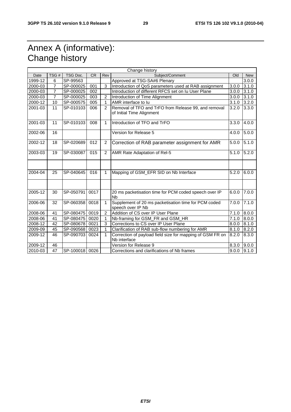# Annex A (informative): Change history

| Change history |                |                |           |                |                                                                                   |       |            |
|----------------|----------------|----------------|-----------|----------------|-----------------------------------------------------------------------------------|-------|------------|
| Date           | TSG#           | TSG Doc.       | <b>CR</b> | Rev            | Subject/Comment                                                                   | Old   | <b>New</b> |
| 1999-12        | 6              | SP-99563       |           |                | Approved at TSG-SA#6 Plenary                                                      |       | 3.0.0      |
| 2000-03        | 7              | SP-000025      | 001       | 3              | Introduction of QoS parameters used at RAB assignment<br>3.0.0                    |       | 3.1.0      |
| 2000-03        | $\overline{7}$ | SP-000025      | 002       |                | Introduction of different RFCS set on Iu User Plane                               | 3.0.0 | 3.1.0      |
| 2000-03        | 7              | SP-000025      | 003       | 2              | Introduction of Time Alignment                                                    | 3.0.0 | 3.1.0      |
| 2000-12        | 10             | SP-000575      | 005       | 1              | AMR interface to lu                                                               | 3.1.0 | 3.2.0      |
| 2001-03        | 11             | SP-010103      | 006       | $\mathcal{P}$  | Removal of TFO and TrFO from Release 99, and removal<br>of Initial Time Alignment | 3.2.0 | 3.3.0      |
| 2001-03        | 11             | SP-010103      | 008       | 1              | Introduction of TFO and TrFO                                                      | 3.3.0 | 4.0.0      |
| 2002-06        | 16             |                |           |                | Version for Release 5                                                             | 4.0.0 | 5.0.0      |
| 2002-12        | 18             | SP-020689      | 012       | $\overline{2}$ | Correction of RAB parameter assignment for AMR                                    | 5.0.0 | 5.1.0      |
| 2003-03        | 19             | SP-030087      | 015       | $\overline{2}$ | AMR Rate Adaptation of Rel-5                                                      | 5.1.0 | 5.2.0      |
| 2004-04        | 25             | SP-040645      | 016       | 1              | Mapping of GSM_EFR SID on Nb Interface                                            | 5.2.0 | 6.0.0      |
| 2005-12        | 30             | SP-050791      | 0017      |                | 20 ms packetisation time for PCM coded speech over IP<br><b>N<sub>b</sub></b>     | 6.0.0 | 7.0.0      |
| 2006-06        | 32             | SP-060358      | 0018      | 1              | Supplement of 20 ms packetisation time for PCM coded<br>speech over IP Nb         | 7.0.0 | 7.1.0      |
| 2008-06        | 41             | SP-080475      | 0019      | $\overline{2}$ | Addition of CS over IP User Plane                                                 | 7.1.0 | 8.0.0      |
| 2008-06        | 41             | SP-080475      | 0020      | 1              | Nb-framing for GSM_FR and GSM_HR                                                  | 7.1.0 | 8.0.0      |
| 2008-12        | 42             | SP-080678      | 0021      | 3              | Corrections to CS over IP User Plane                                              | 8.0.0 | 8.1.0      |
| 2009-09        | 45             | SP-090568      | 0023      | 1              | Clarification of RAB sub-flow numbering for AMR                                   | 8.1.0 | 8.2.0      |
| 2009-12        | 46             | SP-090703      | 0024      | 1              | Correction of payload field size for mapping of GSM FR on<br>Nb interface         | 8.2.0 | 8.3.0      |
| 2009-12        | 46             |                |           |                | Version for Release 9                                                             | 8.3.0 | 9.0.0      |
| 2010-03        | 47             | SP-100018 0026 |           |                | Corrections and clarifications of Nb frames                                       | 9.0.0 | 9.1.0      |